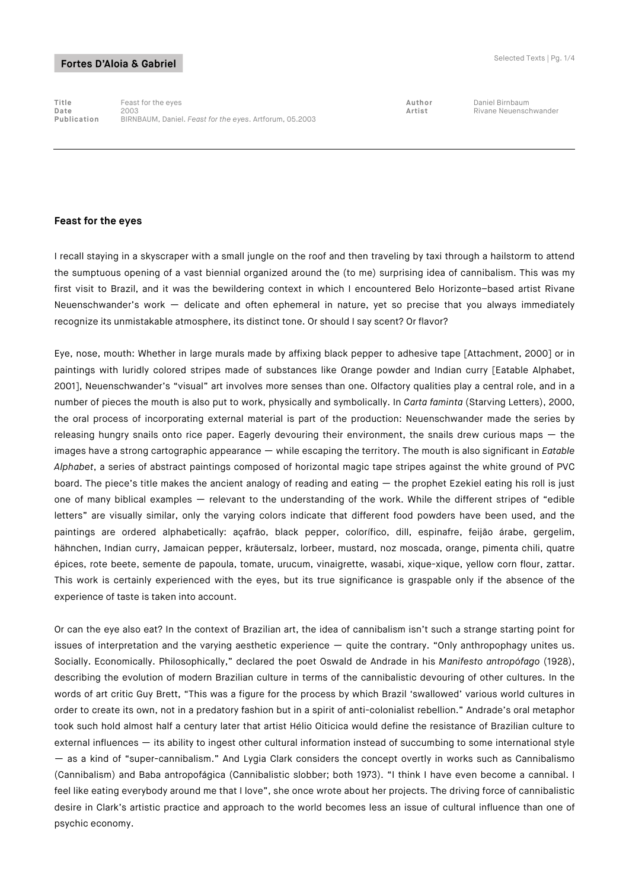**Title** Feast for the eyes **Author** Daniel Birnbaum **Date** 2003 **Artist** Rivane Neuenschwander **Publication** BIRNBAUM, Daniel. *Feast for the eyes*. Artforum, 05.2003

#### **Feast for the eyes**

I recall staying in a skyscraper with a small jungle on the roof and then traveling by taxi through a hailstorm to attend the sumptuous opening of a vast biennial organized around the (to me) surprising idea of cannibalism. This was my first visit to Brazil, and it was the bewildering context in which I encountered Belo Horizonte–based artist Rivane Neuenschwander's work — delicate and often ephemeral in nature, yet so precise that you always immediately recognize its unmistakable atmosphere, its distinct tone. Or should I say scent? Or flavor?

Eye, nose, mouth: Whether in large murals made by affixing black pepper to adhesive tape [Attachment, 2000] or in paintings with luridly colored stripes made of substances like Orange powder and Indian curry [Eatable Alphabet, 2001], Neuenschwander's "visual" art involves more senses than one. Olfactory qualities play a central role, and in a number of pieces the mouth is also put to work, physically and symbolically. In *Carta faminta* (Starving Letters), 2000, the oral process of incorporating external material is part of the production: Neuenschwander made the series by releasing hungry snails onto rice paper. Eagerly devouring their environment, the snails drew curious maps – the images have a strong cartographic appearance — while escaping the territory. The mouth is also significant in *Eatable Alphabet*, a series of abstract paintings composed of horizontal magic tape stripes against the white ground of PVC board. The piece's title makes the ancient analogy of reading and eating  $-$  the prophet Ezekiel eating his roll is just one of many biblical examples — relevant to the understanding of the work. While the different stripes of "edible letters" are visually similar, only the varying colors indicate that different food powders have been used, and the paintings are ordered alphabetically: açafrão, black pepper, colorífico, dill, espinafre, feijão árabe, gergelim, hähnchen, Indian curry, Jamaican pepper, kräutersalz, lorbeer, mustard, noz moscada, orange, pimenta chili, quatre épices, rote beete, semente de papoula, tomate, urucum, vinaigrette, wasabi, xique-xique, yellow corn flour, zattar. This work is certainly experienced with the eyes, but its true significance is graspable only if the absence of the experience of taste is taken into account.

Or can the eye also eat? In the context of Brazilian art, the idea of cannibalism isn't such a strange starting point for issues of interpretation and the varying aesthetic experience — quite the contrary. "Only anthropophagy unites us. Socially. Economically. Philosophically," declared the poet Oswald de Andrade in his *Manifesto antropófago* (1928), describing the evolution of modern Brazilian culture in terms of the cannibalistic devouring of other cultures. In the words of art critic Guy Brett, "This was a figure for the process by which Brazil 'swallowed' various world cultures in order to create its own, not in a predatory fashion but in a spirit of anti-colonialist rebellion." Andrade's oral metaphor took such hold almost half a century later that artist Hélio Oiticica would define the resistance of Brazilian culture to external influences — its ability to ingest other cultural information instead of succumbing to some international style — as a kind of "super-cannibalism." And Lygia Clark considers the concept overtly in works such as Cannibalismo (Cannibalism) and Baba antropofágica (Cannibalistic slobber; both 1973). "I think I have even become a cannibal. I feel like eating everybody around me that I love", she once wrote about her projects. The driving force of cannibalistic desire in Clark's artistic practice and approach to the world becomes less an issue of cultural influence than one of psychic economy.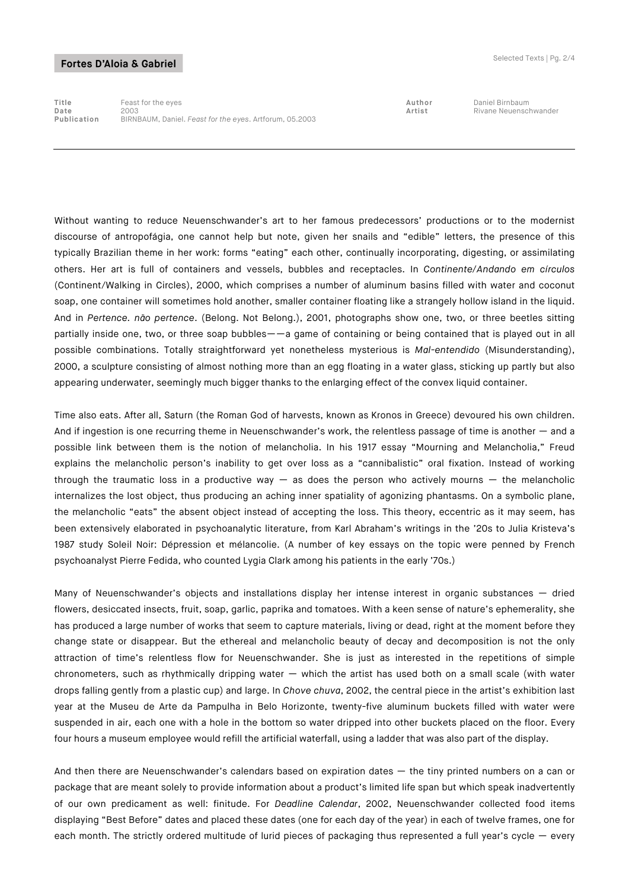**Title** Feast for the eyes **Author** Daniel Birnbaum **Date** 2003 **Artist** Rivane Neuenschwander **Publication** BIRNBAUM, Daniel. *Feast for the eyes*. Artforum, 05.2003

Without wanting to reduce Neuenschwander's art to her famous predecessors' productions or to the modernist discourse of antropofágia, one cannot help but note, given her snails and "edible" letters, the presence of this typically Brazilian theme in her work: forms "eating" each other, continually incorporating, digesting, or assimilating others. Her art is full of containers and vessels, bubbles and receptacles. In *Continente/Andando em círculos* (Continent/Walking in Circles), 2000, which comprises a number of aluminum basins filled with water and coconut soap, one container will sometimes hold another, smaller container floating like a strangely hollow island in the liquid. And in *Pertence. não pertence*. (Belong. Not Belong.), 2001, photographs show one, two, or three beetles sitting partially inside one, two, or three soap bubbles——a game of containing or being contained that is played out in all possible combinations. Totally straightforward yet nonetheless mysterious is *Mal-entendido* (Misunderstanding), 2000, a sculpture consisting of almost nothing more than an egg floating in a water glass, sticking up partly but also appearing underwater, seemingly much bigger thanks to the enlarging effect of the convex liquid container.

Time also eats. After all, Saturn (the Roman God of harvests, known as Kronos in Greece) devoured his own children. And if ingestion is one recurring theme in Neuenschwander's work, the relentless passage of time is another — and a possible link between them is the notion of melancholia. In his 1917 essay "Mourning and Melancholia," Freud explains the melancholic person's inability to get over loss as a "cannibalistic" oral fixation. Instead of working through the traumatic loss in a productive way  $-$  as does the person who actively mourns  $-$  the melancholic internalizes the lost object, thus producing an aching inner spatiality of agonizing phantasms. On a symbolic plane, the melancholic "eats" the absent object instead of accepting the loss. This theory, eccentric as it may seem, has been extensively elaborated in psychoanalytic literature, from Karl Abraham's writings in the '20s to Julia Kristeva's 1987 study Soleil Noir: Dépression et mélancolie. (A number of key essays on the topic were penned by French psychoanalyst Pierre Fedida, who counted Lygia Clark among his patients in the early '70s.)

Many of Neuenschwander's objects and installations display her intense interest in organic substances — dried flowers, desiccated insects, fruit, soap, garlic, paprika and tomatoes. With a keen sense of nature's ephemerality, she has produced a large number of works that seem to capture materials, living or dead, right at the moment before they change state or disappear. But the ethereal and melancholic beauty of decay and decomposition is not the only attraction of time's relentless flow for Neuenschwander. She is just as interested in the repetitions of simple chronometers, such as rhythmically dripping water — which the artist has used both on a small scale (with water drops falling gently from a plastic cup) and large. In *Chove chuva*, 2002, the central piece in the artist's exhibition last year at the Museu de Arte da Pampulha in Belo Horizonte, twenty-five aluminum buckets filled with water were suspended in air, each one with a hole in the bottom so water dripped into other buckets placed on the floor. Every four hours a museum employee would refill the artificial waterfall, using a ladder that was also part of the display.

And then there are Neuenschwander's calendars based on expiration dates — the tiny printed numbers on a can or package that are meant solely to provide information about a product's limited life span but which speak inadvertently of our own predicament as well: finitude. For *Deadline Calendar*, 2002, Neuenschwander collected food items displaying "Best Before" dates and placed these dates (one for each day of the year) in each of twelve frames, one for each month. The strictly ordered multitude of lurid pieces of packaging thus represented a full year's cycle — every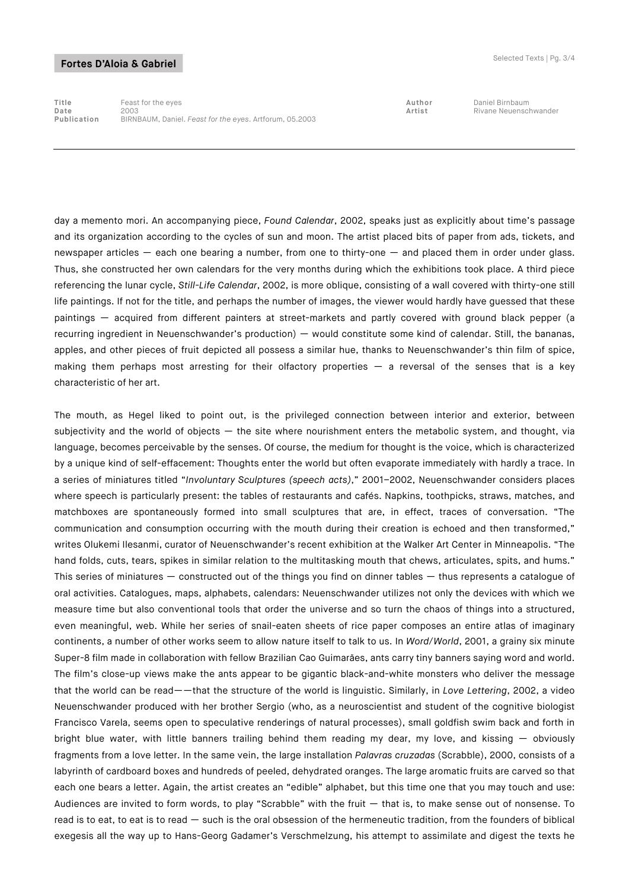**Title** Feast for the eyes **Author** Daniel Birnbaum **Date** 2003 **Artist** Rivane Neuenschwander **Publication** BIRNBAUM, Daniel. *Feast for the eyes*. Artforum, 05.2003

day a memento mori. An accompanying piece, *Found Calendar*, 2002, speaks just as explicitly about time's passage and its organization according to the cycles of sun and moon. The artist placed bits of paper from ads, tickets, and newspaper articles — each one bearing a number, from one to thirty-one — and placed them in order under glass. Thus, she constructed her own calendars for the very months during which the exhibitions took place. A third piece referencing the lunar cycle, *Still-Life Calendar*, 2002, is more oblique, consisting of a wall covered with thirty-one still life paintings. If not for the title, and perhaps the number of images, the viewer would hardly have guessed that these paintings — acquired from different painters at street-markets and partly covered with ground black pepper (a recurring ingredient in Neuenschwander's production) — would constitute some kind of calendar. Still, the bananas, apples, and other pieces of fruit depicted all possess a similar hue, thanks to Neuenschwander's thin film of spice, making them perhaps most arresting for their olfactory properties — a reversal of the senses that is a key characteristic of her art.

The mouth, as Hegel liked to point out, is the privileged connection between interior and exterior, between subjectivity and the world of objects  $-$  the site where nourishment enters the metabolic system, and thought, via language, becomes perceivable by the senses. Of course, the medium for thought is the voice, which is characterized by a unique kind of self-effacement: Thoughts enter the world but often evaporate immediately with hardly a trace. In a series of miniatures titled "*Involuntary Sculptures (speech acts)*," 2001–2002, Neuenschwander considers places where speech is particularly present: the tables of restaurants and cafés. Napkins, toothpicks, straws, matches, and matchboxes are spontaneously formed into small sculptures that are, in effect, traces of conversation. "The communication and consumption occurring with the mouth during their creation is echoed and then transformed," writes Olukemi Ilesanmi, curator of Neuenschwander's recent exhibition at the Walker Art Center in Minneapolis. "The hand folds, cuts, tears, spikes in similar relation to the multitasking mouth that chews, articulates, spits, and hums." This series of miniatures — constructed out of the things you find on dinner tables — thus represents a catalogue of oral activities. Catalogues, maps, alphabets, calendars: Neuenschwander utilizes not only the devices with which we measure time but also conventional tools that order the universe and so turn the chaos of things into a structured, even meaningful, web. While her series of snail-eaten sheets of rice paper composes an entire atlas of imaginary continents, a number of other works seem to allow nature itself to talk to us. In *Word/World*, 2001, a grainy six minute Super-8 film made in collaboration with fellow Brazilian Cao Guimarães, ants carry tiny banners saying word and world. The film's close-up views make the ants appear to be gigantic black-and-white monsters who deliver the message that the world can be read——that the structure of the world is linguistic. Similarly, in *Love Lettering*, 2002, a video Neuenschwander produced with her brother Sergio (who, as a neuroscientist and student of the cognitive biologist Francisco Varela, seems open to speculative renderings of natural processes), small goldfish swim back and forth in bright blue water, with little banners trailing behind them reading my dear, my love, and kissing — obviously fragments from a love letter. In the same vein, the large installation *Palavras cruzadas* (Scrabble), 2000, consists of a labyrinth of cardboard boxes and hundreds of peeled, dehydrated oranges. The large aromatic fruits are carved so that each one bears a letter. Again, the artist creates an "edible" alphabet, but this time one that you may touch and use: Audiences are invited to form words, to play "Scrabble" with the fruit — that is, to make sense out of nonsense. To read is to eat, to eat is to read — such is the oral obsession of the hermeneutic tradition, from the founders of biblical exegesis all the way up to Hans-Georg Gadamer's Verschmelzung, his attempt to assimilate and digest the texts he